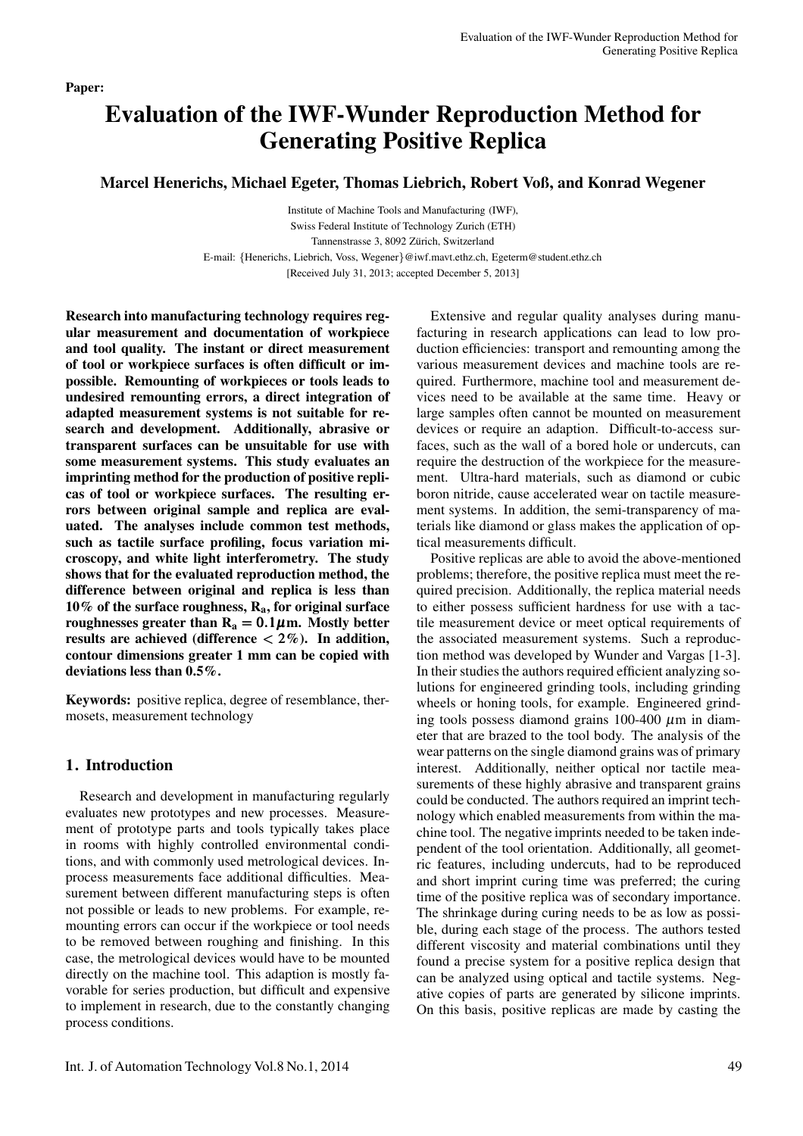# Evaluation of the IWF-Wunder Reproduction Method for Generating Positive Replica

Marcel Henerichs, Michael Egeter, Thomas Liebrich, Robert Voß, and Konrad Wegener

Institute of Machine Tools and Manufacturing (IWF), Swiss Federal Institute of Technology Zurich (ETH) Tannenstrasse 3, 8092 Zürich, Switzerland E-mail: *{*Henerichs, Liebrich, Voss, Wegener*}*@iwf.mavt.ethz.ch, Egeterm@student.ethz.ch [Received July 31, 2013; accepted December 5, 2013]

Research into manufacturing technology requires regular measurement and documentation of workpiece and tool quality. The instant or direct measurement of tool or workpiece surfaces is often difficult or impossible. Remounting of workpieces or tools leads to undesired remounting errors, a direct integration of adapted measurement systems is not suitable for research and development. Additionally, abrasive or transparent surfaces can be unsuitable for use with some measurement systems. This study evaluates an imprinting method for the production of positive replicas of tool or workpiece surfaces. The resulting errors between original sample and replica are evaluated. The analyses include common test methods, such as tactile surface profiling, focus variation microscopy, and white light interferometry. The study shows that for the evaluated reproduction method, the difference between original and replica is less than 10% of the surface roughness,  $R_a$ , for original surface roughnesses greater than  $R_a = 0.1 \mu$ m. Mostly better results are achieved (difference *<* 2%). In addition, contour dimensions greater 1 mm can be copied with deviations less than 0.5%.

Keywords: positive replica, degree of resemblance, thermosets, measurement technology

# 1. Introduction

Research and development in manufacturing regularly evaluates new prototypes and new processes. Measurement of prototype parts and tools typically takes place in rooms with highly controlled environmental conditions, and with commonly used metrological devices. Inprocess measurements face additional difficulties. Measurement between different manufacturing steps is often not possible or leads to new problems. For example, remounting errors can occur if the workpiece or tool needs to be removed between roughing and finishing. In this case, the metrological devices would have to be mounted directly on the machine tool. This adaption is mostly favorable for series production, but difficult and expensive to implement in research, due to the constantly changing process conditions.

Extensive and regular quality analyses during manufacturing in research applications can lead to low production efficiencies: transport and remounting among the various measurement devices and machine tools are required. Furthermore, machine tool and measurement devices need to be available at the same time. Heavy or large samples often cannot be mounted on measurement devices or require an adaption. Difficult-to-access surfaces, such as the wall of a bored hole or undercuts, can require the destruction of the workpiece for the measurement. Ultra-hard materials, such as diamond or cubic boron nitride, cause accelerated wear on tactile measurement systems. In addition, the semi-transparency of materials like diamond or glass makes the application of optical measurements difficult.

Positive replicas are able to avoid the above-mentioned problems; therefore, the positive replica must meet the required precision. Additionally, the replica material needs to either possess sufficient hardness for use with a tactile measurement device or meet optical requirements of the associated measurement systems. Such a reproduction method was developed by Wunder and Vargas [1-3]. In their studies the authors required efficient analyzing solutions for engineered grinding tools, including grinding wheels or honing tools, for example. Engineered grinding tools possess diamond grains 100-400  $\mu$ m in diameter that are brazed to the tool body. The analysis of the wear patterns on the single diamond grains was of primary interest. Additionally, neither optical nor tactile measurements of these highly abrasive and transparent grains could be conducted. The authors required an imprint technology which enabled measurements from within the machine tool. The negative imprints needed to be taken independent of the tool orientation. Additionally, all geometric features, including undercuts, had to be reproduced and short imprint curing time was preferred; the curing time of the positive replica was of secondary importance. The shrinkage during curing needs to be as low as possible, during each stage of the process. The authors tested different viscosity and material combinations until they found a precise system for a positive replica design that can be analyzed using optical and tactile systems. Negative copies of parts are generated by silicone imprints. On this basis, positive replicas are made by casting the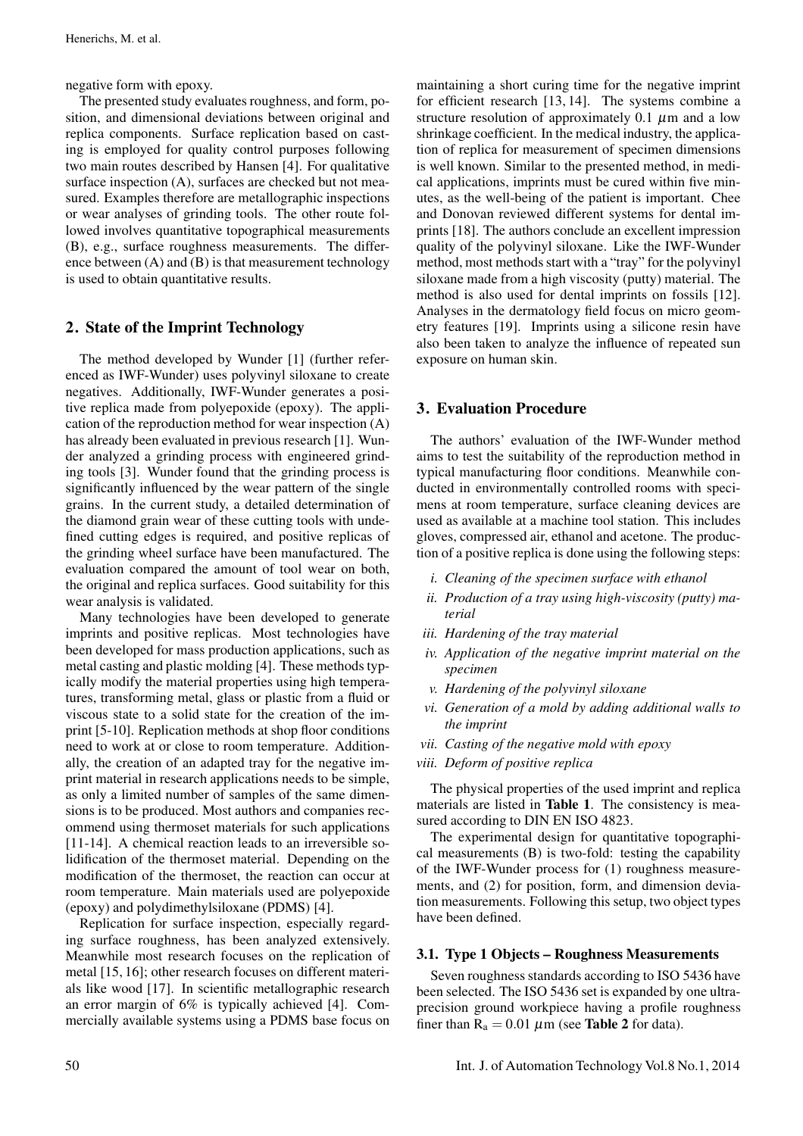negative form with epoxy.

The presented study evaluates roughness, and form, position, and dimensional deviations between original and replica components. Surface replication based on casting is employed for quality control purposes following two main routes described by Hansen [4]. For qualitative surface inspection (A), surfaces are checked but not measured. Examples therefore are metallographic inspections or wear analyses of grinding tools. The other route followed involves quantitative topographical measurements (B), e.g., surface roughness measurements. The difference between (A) and (B) is that measurement technology is used to obtain quantitative results.

# 2. State of the Imprint Technology

The method developed by Wunder [1] (further referenced as IWF-Wunder) uses polyvinyl siloxane to create negatives. Additionally, IWF-Wunder generates a positive replica made from polyepoxide (epoxy). The application of the reproduction method for wear inspection (A) has already been evaluated in previous research [1]. Wunder analyzed a grinding process with engineered grinding tools [3]. Wunder found that the grinding process is significantly influenced by the wear pattern of the single grains. In the current study, a detailed determination of the diamond grain wear of these cutting tools with undefined cutting edges is required, and positive replicas of the grinding wheel surface have been manufactured. The evaluation compared the amount of tool wear on both, the original and replica surfaces. Good suitability for this wear analysis is validated.

Many technologies have been developed to generate imprints and positive replicas. Most technologies have been developed for mass production applications, such as metal casting and plastic molding [4]. These methods typically modify the material properties using high temperatures, transforming metal, glass or plastic from a fluid or viscous state to a solid state for the creation of the imprint [5-10]. Replication methods at shop floor conditions need to work at or close to room temperature. Additionally, the creation of an adapted tray for the negative imprint material in research applications needs to be simple, as only a limited number of samples of the same dimensions is to be produced. Most authors and companies recommend using thermoset materials for such applications [11-14]. A chemical reaction leads to an irreversible solidification of the thermoset material. Depending on the modification of the thermoset, the reaction can occur at room temperature. Main materials used are polyepoxide (epoxy) and polydimethylsiloxane (PDMS) [4].

Replication for surface inspection, especially regarding surface roughness, has been analyzed extensively. Meanwhile most research focuses on the replication of metal [15, 16]; other research focuses on different materials like wood [17]. In scientific metallographic research an error margin of 6% is typically achieved [4]. Commercially available systems using a PDMS base focus on

maintaining a short curing time for the negative imprint for efficient research [13, 14]. The systems combine a structure resolution of approximately 0.1  $\mu$ m and a low shrinkage coefficient. In the medical industry, the application of replica for measurement of specimen dimensions is well known. Similar to the presented method, in medical applications, imprints must be cured within five minutes, as the well-being of the patient is important. Chee and Donovan reviewed different systems for dental imprints [18]. The authors conclude an excellent impression quality of the polyvinyl siloxane. Like the IWF-Wunder method, most methods start with a "tray" for the polyvinyl siloxane made from a high viscosity (putty) material. The method is also used for dental imprints on fossils [12]. Analyses in the dermatology field focus on micro geometry features [19]. Imprints using a silicone resin have also been taken to analyze the influence of repeated sun exposure on human skin.

# 3. Evaluation Procedure

The authors' evaluation of the IWF-Wunder method aims to test the suitability of the reproduction method in typical manufacturing floor conditions. Meanwhile conducted in environmentally controlled rooms with specimens at room temperature, surface cleaning devices are used as available at a machine tool station. This includes gloves, compressed air, ethanol and acetone. The production of a positive replica is done using the following steps:

- *i. Cleaning of the specimen surface with ethanol*
- *ii. Production of a tray using high-viscosity (putty) material*
- *iii. Hardening of the tray material*
- *iv. Application of the negative imprint material on the specimen*
- *v. Hardening of the polyvinyl siloxane*
- *vi. Generation of a mold by adding additional walls to the imprint*
- *vii. Casting of the negative mold with epoxy*
- *viii. Deform of positive replica*

The physical properties of the used imprint and replica materials are listed in Table 1. The consistency is measured according to DIN EN ISO 4823.

The experimental design for quantitative topographical measurements (B) is two-fold: testing the capability of the IWF-Wunder process for (1) roughness measurements, and (2) for position, form, and dimension deviation measurements. Following this setup, two object types have been defined.

## 3.1. Type 1 Objects – Roughness Measurements

Seven roughness standards according to ISO 5436 have been selected. The ISO 5436 set is expanded by one ultraprecision ground workpiece having a profile roughness finer than  $R_a = 0.01 \mu m$  (see **Table 2** for data).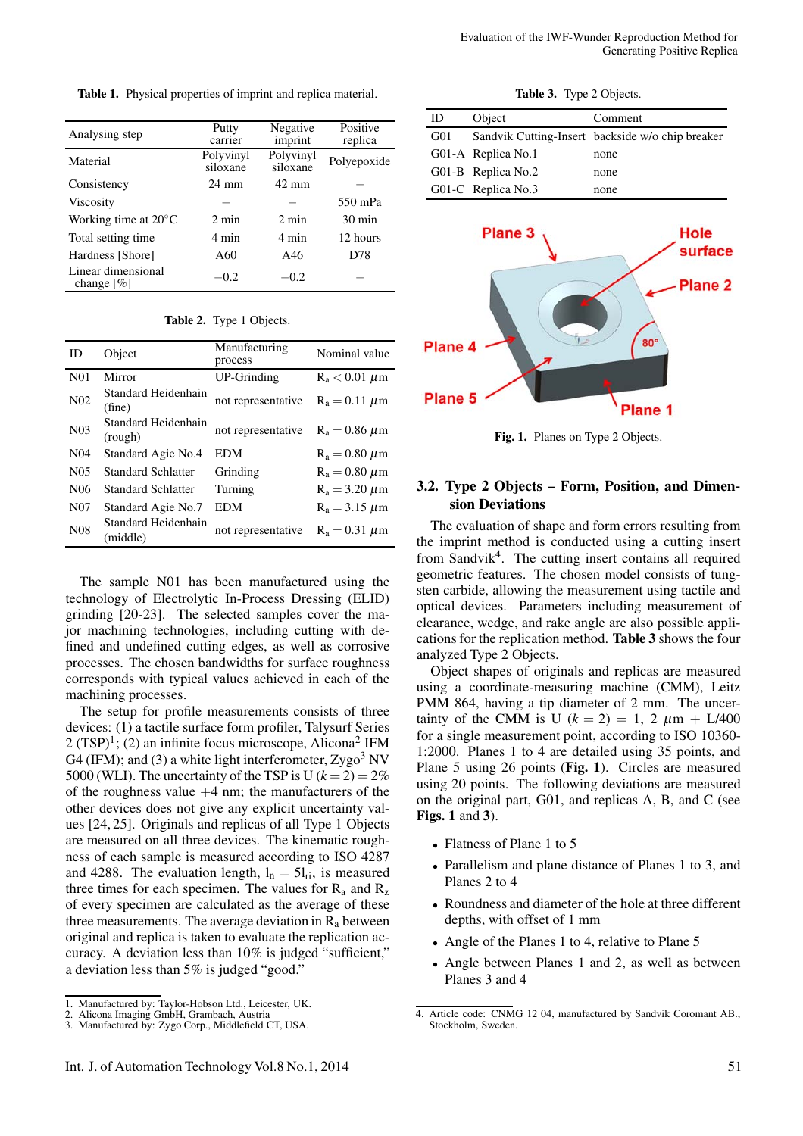Table 1. Physical properties of imprint and replica material.

| Analysing step                      | Putty<br>carrier      | Negative<br>imprint   | Positive<br>replica |
|-------------------------------------|-----------------------|-----------------------|---------------------|
| Material                            | Polyvinyl<br>siloxane | Polyvinyl<br>siloxane | Polyepoxide         |
| Consistency                         | 24 mm                 | $42 \text{ mm}$       |                     |
| <b>Viscosity</b>                    |                       |                       | 550 mPa             |
| Working time at $20^{\circ}$ C      | $2 \text{ min}$       | $2 \text{ min}$       | $30 \text{ min}$    |
| Total setting time                  | 4 min                 | 4 min                 | 12 hours            |
| Hardness [Shore]                    | A60                   | A46                   | D78                 |
| Linear dimensional<br>change $[\%]$ | $-0.2$                | $-0.2$                |                     |

| Table 2. Type 1 Objects. |  |  |
|--------------------------|--|--|
|--------------------------|--|--|

| ID               | Object                          | Manufacturing<br>process | Nominal value      |
|------------------|---------------------------------|--------------------------|--------------------|
| N <sub>0</sub> 1 | Mirror                          | <b>UP-Grinding</b>       | $R_a < 0.01 \mu m$ |
| N <sub>02</sub>  | Standard Heidenhain<br>(fine)   | not representative       | $R_a = 0.11 \mu m$ |
| N <sub>03</sub>  | Standard Heidenhain<br>(rough)  | not representative       | $R_a = 0.86 \mu m$ |
| N <sub>04</sub>  | Standard Agie No.4              | EDM                      | $R_a = 0.80 \mu m$ |
| N <sub>05</sub>  | Standard Schlatter              | Grinding                 | $R_a = 0.80 \mu m$ |
| N <sub>06</sub>  | <b>Standard Schlatter</b>       | Turning                  | $R_a = 3.20 \mu m$ |
| N <sub>07</sub>  | Standard Agie No.7              | <b>EDM</b>               | $R_a = 3.15 \mu m$ |
| N <sub>08</sub>  | Standard Heidenhain<br>(middle) | not representative       | $R_a = 0.31 \mu m$ |

The sample N01 has been manufactured using the technology of Electrolytic In-Process Dressing (ELID) grinding [20-23]. The selected samples cover the major machining technologies, including cutting with defined and undefined cutting edges, as well as corrosive processes. The chosen bandwidths for surface roughness corresponds with typical values achieved in each of the machining processes.

The setup for profile measurements consists of three devices: (1) a tactile surface form profiler, Talysurf Series  $2 (TSP)<sup>1</sup>$ ; (2) an infinite focus microscope, Alicona<sup>2</sup> IFM G4 (IFM); and (3) a white light interferometer,  $Zygo<sup>3</sup>$  NV 5000 (WLI). The uncertainty of the TSP is U  $(k = 2) = 2\%$ of the roughness value  $+4$  nm; the manufacturers of the other devices does not give any explicit uncertainty values [24, 25]. Originals and replicas of all Type 1 Objects are measured on all three devices. The kinematic roughness of each sample is measured according to ISO 4287 and 4288. The evaluation length,  $l_n = 5l_{ri}$ , is measured three times for each specimen. The values for  $R_a$  and  $R_z$ of every specimen are calculated as the average of these three measurements. The average deviation in  $R_a$  between original and replica is taken to evaluate the replication accuracy. A deviation less than 10% is judged "sufficient," a deviation less than 5% is judged "good."

| ID  | Object             | Comment                                          |
|-----|--------------------|--------------------------------------------------|
| G01 |                    | Sandvik Cutting-Insert backside w/o chip breaker |
|     | G01-A Replica No.1 | none                                             |
|     | G01-B Replica No.2 | none                                             |
|     | G01-C Replica No.3 | none                                             |



Fig. 1. Planes on Type 2 Objects.

## 3.2. Type 2 Objects – Form, Position, and Dimension Deviations

The evaluation of shape and form errors resulting from the imprint method is conducted using a cutting insert from Sandvik<sup>4</sup>. The cutting insert contains all required geometric features. The chosen model consists of tungsten carbide, allowing the measurement using tactile and optical devices. Parameters including measurement of clearance, wedge, and rake angle are also possible applications for the replication method. Table 3 shows the four analyzed Type 2 Objects.

Object shapes of originals and replicas are measured using a coordinate-measuring machine (CMM), Leitz PMM 864, having a tip diameter of 2 mm. The uncertainty of the CMM is U  $(k = 2) = 1, 2 \mu m + L/400$ for a single measurement point, according to ISO 10360- 1:2000. Planes 1 to 4 are detailed using 35 points, and Plane 5 using 26 points (Fig. 1). Circles are measured using 20 points. The following deviations are measured on the original part, G01, and replicas A, B, and C (see Figs. 1 and 3).

- Flatness of Plane 1 to 5
- Parallelism and plane distance of Planes 1 to 3, and Planes 2 to 4
- Roundness and diameter of the hole at three different depths, with offset of 1 mm
- Angle of the Planes 1 to 4, relative to Plane 5
- Angle between Planes 1 and 2, as well as between Planes 3 and 4

<sup>1.</sup> Manufactured by: Taylor-Hobson Ltd., Leicester, UK.

<sup>2.</sup> Alicona Imaging GmbH, Grambach, Austria 3. Manufactured by: Zygo Corp., Middlefield CT, USA.

<sup>4.</sup> Article code: CNMG 12 04, manufactured by Sandvik Coromant AB., Stockholm, Sweden.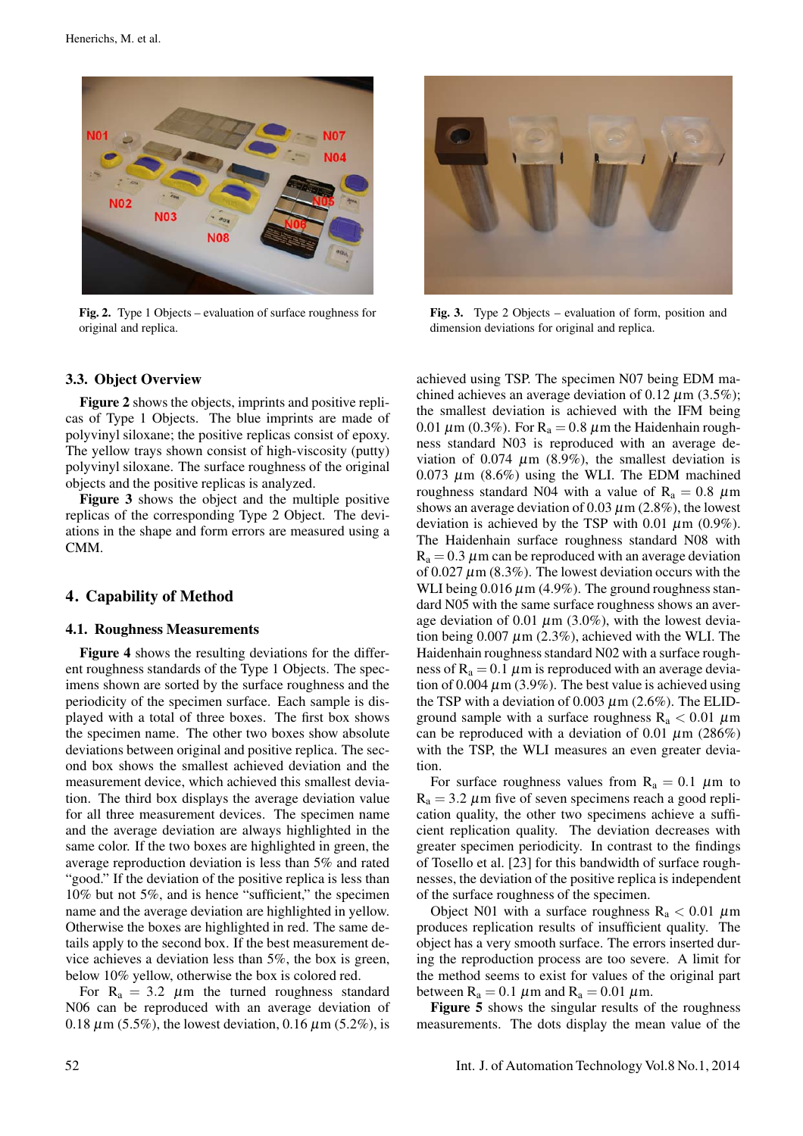

Fig. 2. Type 1 Objects – evaluation of surface roughness for original and replica.

## 3.3. Object Overview

Figure 2 shows the objects, imprints and positive replicas of Type 1 Objects. The blue imprints are made of polyvinyl siloxane; the positive replicas consist of epoxy. The yellow trays shown consist of high-viscosity (putty) polyvinyl siloxane. The surface roughness of the original objects and the positive replicas is analyzed.

Figure 3 shows the object and the multiple positive replicas of the corresponding Type 2 Object. The deviations in the shape and form errors are measured using a CMM.

## 4. Capability of Method

## 4.1. Roughness Measurements

Figure 4 shows the resulting deviations for the different roughness standards of the Type 1 Objects. The specimens shown are sorted by the surface roughness and the periodicity of the specimen surface. Each sample is displayed with a total of three boxes. The first box shows the specimen name. The other two boxes show absolute deviations between original and positive replica. The second box shows the smallest achieved deviation and the measurement device, which achieved this smallest deviation. The third box displays the average deviation value for all three measurement devices. The specimen name and the average deviation are always highlighted in the same color. If the two boxes are highlighted in green, the average reproduction deviation is less than 5% and rated "good." If the deviation of the positive replica is less than 10% but not 5%, and is hence "sufficient," the specimen name and the average deviation are highlighted in yellow. Otherwise the boxes are highlighted in red. The same details apply to the second box. If the best measurement device achieves a deviation less than 5%, the box is green, below 10% yellow, otherwise the box is colored red.

For  $R_a = 3.2 \mu m$  the turned roughness standard N06 can be reproduced with an average deviation of 0.18  $\mu$ m (5.5%), the lowest deviation, 0.16  $\mu$ m (5.2%), is



Fig. 3. Type 2 Objects – evaluation of form, position and dimension deviations for original and replica.

achieved using TSP. The specimen N07 being EDM machined achieves an average deviation of 0.12  $\mu$ m (3.5%); the smallest deviation is achieved with the IFM being 0.01  $\mu$ m (0.3%). For R<sub>a</sub> = 0.8  $\mu$ m the Haidenhain roughness standard N03 is reproduced with an average deviation of 0.074  $\mu$ m (8.9%), the smallest deviation is 0.073  $\mu$ m (8.6%) using the WLI. The EDM machined roughness standard N04 with a value of  $R_a = 0.8 \mu m$ shows an average deviation of 0.03  $\mu$ m (2.8%), the lowest deviation is achieved by the TSP with 0.01  $\mu$ m (0.9%). The Haidenhain surface roughness standard N08 with  $R_a = 0.3 \mu$ m can be reproduced with an average deviation of 0.027  $\mu$ m (8.3%). The lowest deviation occurs with the WLI being  $0.016 \mu m$  (4.9%). The ground roughness standard N05 with the same surface roughness shows an average deviation of 0.01  $\mu$ m (3.0%), with the lowest deviation being  $0.007 \mu m$  (2.3%), achieved with the WLI. The Haidenhain roughness standard N02 with a surface roughness of  $R_a = 0.1 \mu m$  is reproduced with an average deviation of 0.004  $\mu$ m (3.9%). The best value is achieved using the TSP with a deviation of 0.003  $\mu$ m (2.6%). The ELIDground sample with a surface roughness  $R_a < 0.01 \mu m$ can be reproduced with a deviation of 0.01  $\mu$ m (286%) with the TSP, the WLI measures an even greater deviation.

For surface roughness values from  $R_a = 0.1 \mu m$  to  $R_a = 3.2 \mu m$  five of seven specimens reach a good replication quality, the other two specimens achieve a sufficient replication quality. The deviation decreases with greater specimen periodicity. In contrast to the findings of Tosello et al. [23] for this bandwidth of surface roughnesses, the deviation of the positive replica is independent of the surface roughness of the specimen.

Object N01 with a surface roughness  $R_a < 0.01 \mu m$ produces replication results of insufficient quality. The object has a very smooth surface. The errors inserted during the reproduction process are too severe. A limit for the method seems to exist for values of the original part between  $R_a = 0.1 \mu m$  and  $R_a = 0.01 \mu m$ .

Figure 5 shows the singular results of the roughness measurements. The dots display the mean value of the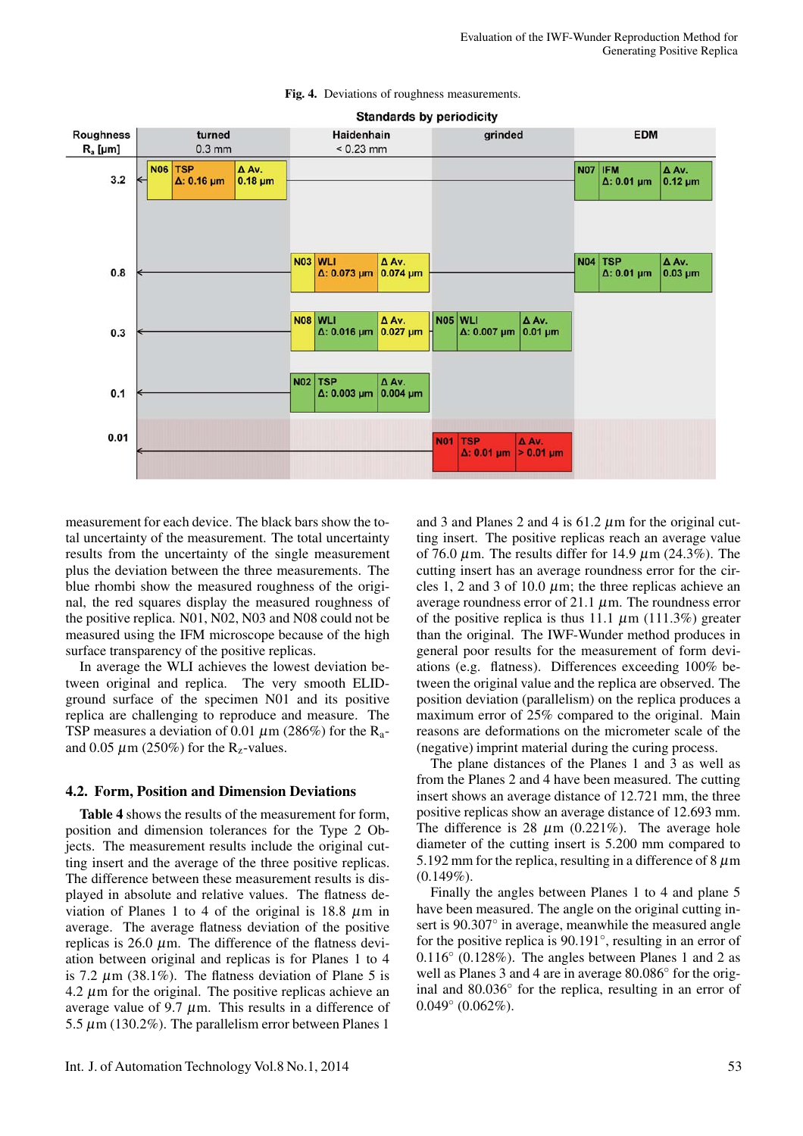#### Fig. 4. Deviations of roughness measurements.



measurement for each device. The black bars show the total uncertainty of the measurement. The total uncertainty results from the uncertainty of the single measurement plus the deviation between the three measurements. The blue rhombi show the measured roughness of the original, the red squares display the measured roughness of the positive replica. N01, N02, N03 and N08 could not be measured using the IFM microscope because of the high surface transparency of the positive replicas.

In average the WLI achieves the lowest deviation between original and replica. The very smooth ELIDground surface of the specimen N01 and its positive replica are challenging to reproduce and measure. The TSP measures a deviation of 0.01  $\mu$ m (286%) for the R<sub>a</sub>and 0.05  $\mu$ m (250%) for the R<sub>z</sub>-values.

### 4.2. Form, Position and Dimension Deviations

Table 4 shows the results of the measurement for form, position and dimension tolerances for the Type 2 Objects. The measurement results include the original cutting insert and the average of the three positive replicas. The difference between these measurement results is displayed in absolute and relative values. The flatness deviation of Planes 1 to 4 of the original is  $18.8 \mu m$  in average. The average flatness deviation of the positive replicas is 26.0  $\mu$ m. The difference of the flatness deviation between original and replicas is for Planes 1 to 4 is 7.2  $\mu$ m (38.1%). The flatness deviation of Plane 5 is 4.2  $\mu$ m for the original. The positive replicas achieve an average value of 9.7  $\mu$ m. This results in a difference of 5.5  $\mu$ m (130.2%). The parallelism error between Planes 1

and 3 and Planes 2 and 4 is  $61.2 \mu m$  for the original cutting insert. The positive replicas reach an average value of 76.0  $\mu$ m. The results differ for 14.9  $\mu$ m (24.3%). The cutting insert has an average roundness error for the circles 1, 2 and 3 of 10.0  $\mu$ m; the three replicas achieve an average roundness error of 21.1  $\mu$ m. The roundness error of the positive replica is thus 11.1  $\mu$ m (111.3%) greater than the original. The IWF-Wunder method produces in general poor results for the measurement of form deviations (e.g. flatness). Differences exceeding 100% between the original value and the replica are observed. The position deviation (parallelism) on the replica produces a maximum error of 25% compared to the original. Main reasons are deformations on the micrometer scale of the (negative) imprint material during the curing process.

The plane distances of the Planes 1 and 3 as well as from the Planes 2 and 4 have been measured. The cutting insert shows an average distance of 12.721 mm, the three positive replicas show an average distance of 12.693 mm. The difference is 28  $\mu$ m (0.221%). The average hole diameter of the cutting insert is 5.200 mm compared to 5.192 mm for the replica, resulting in a difference of 8  $\mu$ m  $(0.149\%).$ 

Finally the angles between Planes 1 to 4 and plane 5 have been measured. The angle on the original cutting insert is 90.307° in average, meanwhile the measured angle for the positive replica is 90.191◦, resulting in an error of 0.116◦ (0.128%). The angles between Planes 1 and 2 as well as Planes 3 and 4 are in average 80.086◦ for the original and 80.036◦ for the replica, resulting in an error of  $0.049°(0.062%)$ .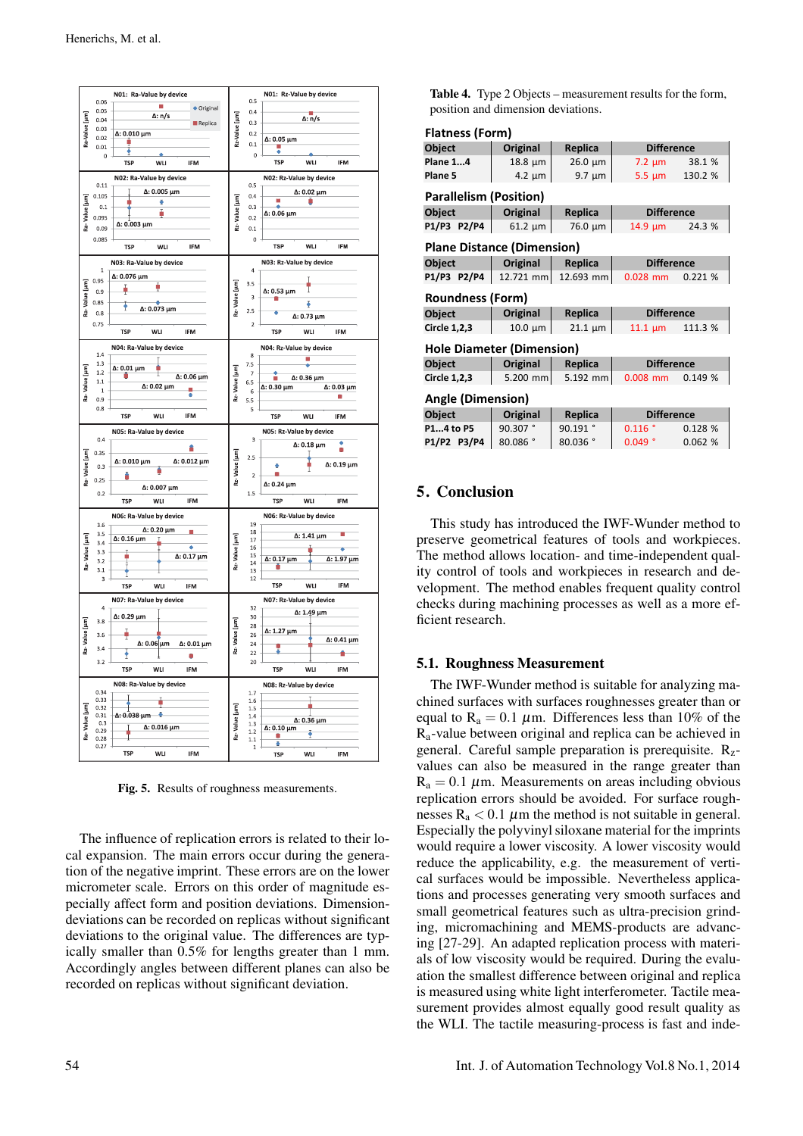

Fig. 5. Results of roughness measurements.

The influence of replication errors is related to their local expansion. The main errors occur during the generation of the negative imprint. These errors are on the lower micrometer scale. Errors on this order of magnitude especially affect form and position deviations. Dimensiondeviations can be recorded on replicas without significant deviations to the original value. The differences are typically smaller than 0.5% for lengths greater than 1 mm. Accordingly angles between different planes can also be recorded on replicas without significant deviation.

Table 4. Type 2 Objects – measurement results for the form, position and dimension deviations.

| <b>Flatness (Form)</b>            |              |              |                    |         |
|-----------------------------------|--------------|--------------|--------------------|---------|
| Object                            | Original     | Replica      | <b>Difference</b>  |         |
| <b>Plane 14</b>                   | $18.8 \mu m$ | $26.0 \mu m$ | $7.2 \mu m$        | 38.1 %  |
| Plane 5                           | $4.2 \mu m$  | $9.7 \mu m$  | $5.5 \mu m$        | 130.2 % |
| <b>Parallelism (Position)</b>     |              |              |                    |         |
| Object                            | Original     | Replica      | <b>Difference</b>  |         |
| P1/P3 P2/P4                       | $61.2 \mu m$ | 76.0 µm      | $14.9 \mu m$       | 24.3 %  |
| <b>Plane Distance (Dimension)</b> |              |              |                    |         |
| Object                            | Original     | Replica      | <b>Difference</b>  |         |
| P1/P3 P2/P4                       | 12.721 mm    | 12.693 mm    | $0.028$ mm         | 0.221%  |
| <b>Roundness (Form)</b>           |              |              |                    |         |
|                                   |              |              |                    |         |
| <b>Object</b>                     | Original     | Replica      | <b>Difference</b>  |         |
| Circle 1,2,3                      | $10.0 \mu m$ | $21.1 \mu m$ | $11.1 \mu m$       | 111.3 % |
| <b>Hole Diameter (Dimension)</b>  |              |              |                    |         |
| Object                            | Original     | Replica      | <b>Difference</b>  |         |
| <b>Circle 1,2,3</b>               | 5.200 mm     | 5.192 mm     | $0.008$ mm         | 0.149%  |
| <b>Angle (Dimension)</b>          |              |              |                    |         |
| Object                            | Original     | Replica      | <b>Difference</b>  |         |
| P14 to P5                         | 90.307°      | 90.191°      | $0.116$ $^{\circ}$ | 0.128%  |

## 5. Conclusion

This study has introduced the IWF-Wunder method to preserve geometrical features of tools and workpieces. The method allows location- and time-independent quality control of tools and workpieces in research and development. The method enables frequent quality control checks during machining processes as well as a more efficient research.

## 5.1. Roughness Measurement

The IWF-Wunder method is suitable for analyzing machined surfaces with surfaces roughnesses greater than or equal to  $R_a = 0.1 \mu m$ . Differences less than 10% of the Ra-value between original and replica can be achieved in general. Careful sample preparation is prerequisite.  $R_{z}$ values can also be measured in the range greater than  $R_a = 0.1 \mu$ m. Measurements on areas including obvious replication errors should be avoided. For surface roughnesses  $R_a < 0.1 \mu m$  the method is not suitable in general. Especially the polyvinyl siloxane material for the imprints would require a lower viscosity. A lower viscosity would reduce the applicability, e.g. the measurement of vertical surfaces would be impossible. Nevertheless applications and processes generating very smooth surfaces and small geometrical features such as ultra-precision grinding, micromachining and MEMS-products are advancing [27-29]. An adapted replication process with materials of low viscosity would be required. During the evaluation the smallest difference between original and replica is measured using white light interferometer. Tactile measurement provides almost equally good result quality as the WLI. The tactile measuring-process is fast and inde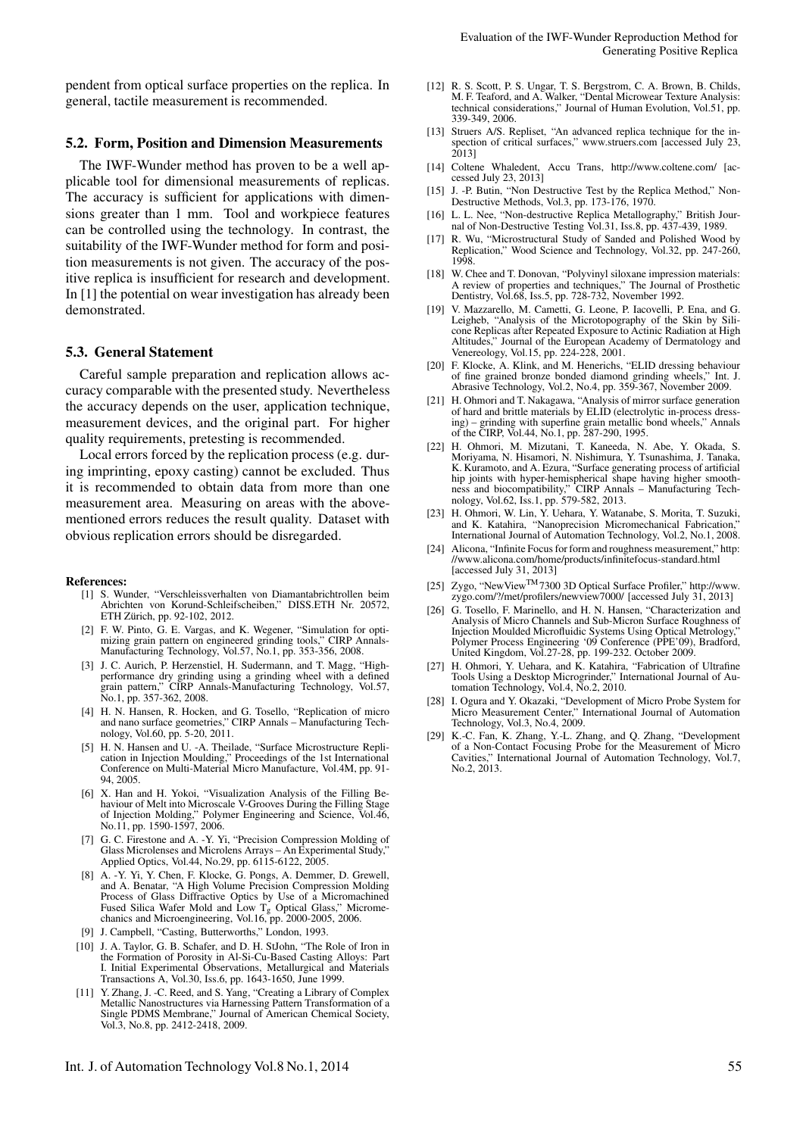pendent from optical surface properties on the replica. In general, tactile measurement is recommended.

## 5.2. Form, Position and Dimension Measurements

The IWF-Wunder method has proven to be a well applicable tool for dimensional measurements of replicas. The accuracy is sufficient for applications with dimensions greater than 1 mm. Tool and workpiece features can be controlled using the technology. In contrast, the suitability of the IWF-Wunder method for form and position measurements is not given. The accuracy of the positive replica is insufficient for research and development. In [1] the potential on wear investigation has already been demonstrated.

## 5.3. General Statement

Careful sample preparation and replication allows accuracy comparable with the presented study. Nevertheless the accuracy depends on the user, application technique, measurement devices, and the original part. For higher quality requirements, pretesting is recommended.

Local errors forced by the replication process (e.g. during imprinting, epoxy casting) cannot be excluded. Thus it is recommended to obtain data from more than one measurement area. Measuring on areas with the abovementioned errors reduces the result quality. Dataset with obvious replication errors should be disregarded.

#### References:

- [1] S. Wunder, "Verschleissverhalten von Diamantabrichtrollen beim Abrichten von Korund-Schleifscheiben," DISS.ETH Nr. 20572, ETH Zürich, pp. 92-102, 2012.
- [2] F. W. Pinto, G. E. Vargas, and K. Wegener, "Simulation for optimizing grain pattern on engineered grinding tools," CIRP Annals-Manufacturing Technology, Vol.57, No.1, pp. 353-356, 2008.
- [3] J. C. Aurich, P. Herzenstiel, H. Sudermann, and T. Magg, "Highperformance dry grinding using a grinding wheel with a defined grain pattern," CIRP Annals-Manufacturing Technology, Vol.57, No.1, pp. 357-362, 2008.
- [4] H. N. Hansen, R. Hocken, and G. Tosello, "Replication of micro and nano surface geometries," CIRP Annals – Manufacturing Technology, Vol.60, pp. 5-20, 2011.
- [5] H. N. Hansen and U. -A. Theilade, "Surface Microstructure Replication in Injection Moulding," Proceedings of the 1st International Conference on Multi-Material Micro Manufacture, Vol.4M, pp. 91- 94, 2005.
- [6] X. Han and H. Yokoi, "Visualization Analysis of the Filling Behaviour of Melt into Microscale V-Grooves During the Filling Stage of Injection Molding," Polymer Engineering and Science, Vol.46, No.11, pp. 1590-1597, 2006.
- [7] G. C. Firestone and A. -Y. Yi, "Precision Compression Molding of Glass Microlenses and Microlens Arrays – An Experimental Study," Applied Optics, Vol.44, No.29, pp. 6115-6122, 2005.
- [8] A. -Y. Yi, Y. Chen, F. Klocke, G. Pongs, A. Demmer, D. Grewell, and A. Benatar, "A High Volume Precision Compression Molding Process of Glass Diffractive Optics by Use of a Micromachined Fused Silica Wafer Mold and Low  $T_g$  Optical Glass," Micromechanics and Microengineering, Vol.16, pp. 2000-2005, 2006.
- [9] J. Campbell, "Casting, Butterworths," London, 1993.
- [10] J. A. Taylor, G. B. Schafer, and D. H. StJohn, "The Role of Iron in the Formation of Porosity in Al-Si-Cu-Based Casting Alloys: Part I. Initial Experimental Observations, Metallurgical and Materials Transactions A, Vol.30, Iss.6, pp. 1643-1650, June 1999.
- [11] Y. Zhang, J. -C. Reed, and S. Yang, "Creating a Library of Complex Metallic Nanostructures via Harnessing Pattern Transformation of a Single PDMS Membrane," Journal of American Chemical Society, Vol.3, No.8, pp. 2412-2418, 2009.
- [12] R. S. Scott, P. S. Ungar, T. S. Bergstrom, C. A. Brown, B. Childs, M. F. Teaford, and A. Walker, "Dental Microwear Texture Analysis: technical considerations," Journal of Human Evolution, Vol.51, pp. 339-349, 2006.
- [13] Struers A/S. Repliset, "An advanced replica technique for the inspection of critical surfaces," www.struers.com [accessed July 23, 2013]
- [14] Coltene Whaledent, Accu Trans, http://www.coltene.com/ [accessed July 23, 2013]
- [15] J. -P. Butin, "Non Destructive Test by the Replica Method," Non-Destructive Methods, Vol.3, pp. 173-176, 1970.
- [16] L. L. Nee, "Non-destructive Replica Metallography," British Journal of Non-Destructive Testing Vol.31, Iss.8, pp. 437-439, 1989.
- [17] R. Wu, "Microstructural Study of Sanded and Polished Wood by Replication," Wood Science and Technology, Vol.32, pp. 247-260, 1998.
- [18] W. Chee and T. Donovan, "Polyvinyl siloxane impression materials: A review of properties and techniques," The Journal of Prosthetic Dentistry, Vol.68, Iss.5, pp. 728-732, November 1992.
- [19] V. Mazzarello, M. Cametti, G. Leone, P. Iacovelli, P. Ena, and G. Leigheb, "Analysis of the Microtopography of the Skin by Silicone Replicas after Repeated Exposure to Actinic Radiation at High Altitudes," Journal of the European Academy of Dermatology and Venereology, Vol.15, pp. 224-228, 2001.
- [20] F. Klocke, A. Klink, and M. Henerichs, "ELID dressing behaviour of fine grained bronze bonded diamond grinding wheels," Int. J. Abrasive Technology, Vol.2, No.4, pp. 359-367, November 2009.
- [21] H. Ohmori and T. Nakagawa, "Analysis of mirror surface generation of hard and brittle materials by ELID (electrolytic in-process dressing) – grinding with superfine grain metallic bond wheels," Annals of the CIRP, Vol.44, No.1, pp. 287-290, 1995.
- [22] H. Ohmori, M. Mizutani, T. Kaneeda, N. Abe, Y. Okada, S. Moriyama, N. Hisamori, N. Nishimura, Y. Tsunashima, J. Tanaka, K. Kuramoto, and A. Ezura, "Surface generating process of artificial hip joints with hyper-hemispherical shape having higher smooth-ness and biocompatibility," CIRP Annals – Manufacturing Technology, Vol.62, Iss.1, pp. 579-582, 2013.
- [23] H. Ohmori, W. Lin, Y. Uehara, Y. Watanabe, S. Morita, T. Suzuki, and K. Katahira, "Nanoprecision Micromechanical Fabrication, International Journal of Automation Technology, Vol.2, No.1, 2008.
- [24] Alicona, "Infinite Focus for form and roughness measurement," http: //www.alicona.com/home/products/infinitefocus-standard.html [accessed July 31, 2013]
- [25] Zygo, "NewViewTM7300 3D Optical Surface Profiler," http://www. zygo.com/?/met/profilers/newview7000/ [accessed July 31, 2013]
- [26] G. Tosello, F. Marinello, and H. N. Hansen, "Characterization and Analysis of Micro Channels and Sub-Micron Surface Roughness of Injection Moulded Microfluidic Systems Using Optical Metrology," Polymer Process Engineering '09 Conference (PPE'09), Bradford, United Kingdom, Vol.27-28, pp. 199-232. October 2009.
- [27] H. Ohmori, Y. Uehara, and K. Katahira, "Fabrication of Ultrafine Tools Using a Desktop Microgrinder," International Journal of Automation Technology, Vol.4, No.2, 2010.
- [28] I. Ogura and Y. Okazaki, "Development of Micro Probe System for Micro Measurement Center," International Journal of Automation Technology, Vol.3, No.4, 2009.
- [29] K.-C. Fan, K. Zhang, Y.-L. Zhang, and Q. Zhang, "Development of a Non-Contact Focusing Probe for the Measurement of Micro Cavities," International Journal of Automation Technology, Vol.7, No.2, 2013.